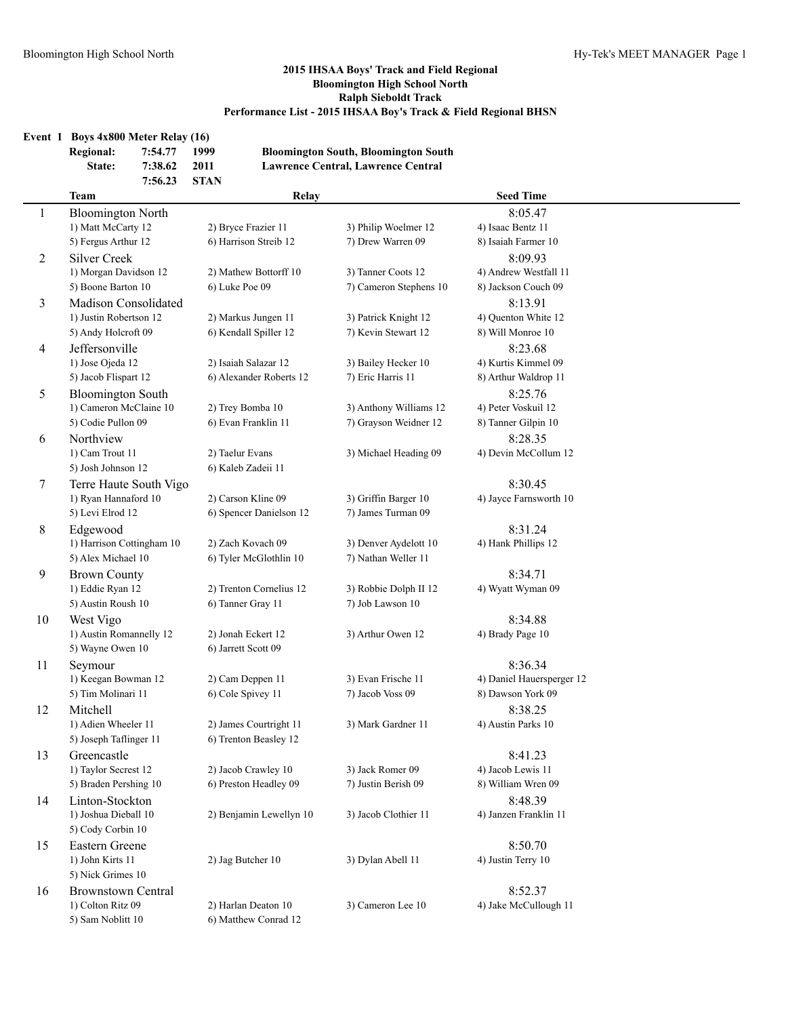| Event 1        | Boys 4x800 Meter Relay (16) |                               |                             |                         |                                                                                          |                       |
|----------------|-----------------------------|-------------------------------|-----------------------------|-------------------------|------------------------------------------------------------------------------------------|-----------------------|
|                | <b>Regional:</b><br>State:  | 7:54.77<br>7:38.62<br>7:56.23 | 1999<br>2011<br><b>STAN</b> |                         | <b>Bloomington South, Bloomington South</b><br><b>Lawrence Central, Lawrence Central</b> |                       |
|                | <b>Team</b>                 |                               |                             | Relay                   |                                                                                          | <b>Seed Time</b>      |
| 1              | <b>Bloomington North</b>    |                               |                             |                         |                                                                                          | 8:05.47               |
|                | 1) Matt McCarty 12          |                               | 2) Bryce Frazier 11         |                         | 3) Philip Woelmer 12                                                                     | 4) Isaac Bentz 11     |
|                | 5) Fergus Arthur 12         |                               | 6) Harrison Streib 12       |                         | 7) Drew Warren 09                                                                        | 8) Isaiah Farmer 10   |
| 2              | Silver Creek                |                               |                             |                         |                                                                                          | 8:09.93               |
|                | 1) Morgan Davidson 12       |                               |                             | 2) Mathew Bottorff 10   | 3) Tanner Coots 12                                                                       | 4) Andrew Westfall 11 |
|                | 5) Boone Barton 10          |                               | 6) Luke Poe 09              |                         | 7) Cameron Stephens 10                                                                   | 8) Jackson Couch 09   |
| 3              | <b>Madison Consolidated</b> |                               |                             |                         |                                                                                          | 8:13.91               |
|                | 1) Justin Robertson 12      |                               | 2) Markus Jungen 11         |                         | 3) Patrick Knight 12                                                                     | 4) Ouenton White 12   |
|                | 5) Andy Holcroft 09         |                               | 6) Kendall Spiller 12       |                         | 7) Kevin Stewart 12                                                                      | 8) Will Monroe 10     |
| $\overline{4}$ | <b>Jeffersonville</b>       |                               |                             |                         |                                                                                          | 8:23.68               |
|                | 1) Jose Ojeda 12            |                               | 2) Isaiah Salazar 12        |                         | 3) Bailey Hecker 10                                                                      | 4) Kurtis Kimmel 09   |
|                | 5) Jacob Flispart 12        |                               |                             | 6) Alexander Roberts 12 | 7) Eric Harris 11                                                                        | 8) Arthur Waldrop 11  |
| 5              | <b>Bloomington South</b>    |                               |                             |                         |                                                                                          | 8:25.76               |
|                | 1) Cameron McClaine 10      |                               | 2) Trey Bomba 10            |                         | 3) Anthony Williams 12                                                                   | 4) Peter Voskuil 12   |

5) Josh Johnson 12 6) Kaleb Zadeii 11 7 Terre Haute South Vigo 8:30.45 1) Ryan Hannaford 10 2) Carson Kline 09 3) Griffin Barger 10 4) Jayce Farnsworth 10 5) Levi Elrod 12 6) Spencer Danielson 12 7) James Turman 09 8 Edgewood 8:31.24 1) Harrison Cottingham 10 2) Zach Kovach 09 3) Denver Aydelott 10 4) Hank Phillips 12 5) Alex Michael 10 6) Tyler McGlothlin 10 7) Nathan Weller 11 9 Brown County 8:34.71 1) Eddie Ryan 12 2) Trenton Cornelius 12 3) Robbie Dolph II 12 4) Wyatt Wyman 09 5) Austin Roush 10 6) Tanner Gray 11 7) Job Lawson 10 10 West Vigo 8:34.88

5) Wayne Owen 10 6) Jarrett Scott 09

5) Joseph Taflinger 11 6) Trenton Beasley 12

5) Sam Noblitt 10 6) Matthew Conrad 12

5) Cody Corbin 10

5) Nick Grimes 10

5) Tim Molinari 11 6) Cole Spivey 11 7) Jacob Voss 09 8) Dawson York 09

1) Adien Wheeler 11 2) James Courtright 11 3) Mark Gardner 11 4) Austin Parks 10

1) Taylor Secrest 12 2) Jacob Crawley 10 3) Jack Romer 09 4) Jacob Lewis 11 5) Braden Pershing 10 6) Preston Headley 09 7) Justin Berish 09 8) William Wren 09

1) Joshua Dieball 10 2) Benjamin Lewellyn 10 3) Jacob Clothier 11 4) Janzen Franklin 11

1) John Kirts 11 2) Jag Butcher 10 3) Dylan Abell 11 4) Justin Terry 10

16 Brownstown Central 8:52.37 1) Colton Ritz 09 2) Harlan Deaton 10 3) Cameron Lee 10 4) Jake McCullough 11

5) Codie Pullon 09 6) Evan Franklin 11 7) Grayson Weidner 12 8) Tanner Gilpin 10 6 Northview 8:28.35 1) Cam Trout 11 2) Taelur Evans 3) Michael Heading 09 4) Devin McCollum 12

1) Austin Romannelly 12 2) Jonah Eckert 12 3) Arthur Owen 12 4) Brady Page 10

11 Seymour 8:36.34 1) Keegan Bowman 12 2) Cam Deppen 11 3) Evan Frische 11 4) Daniel Hauersperger 12 12 Mitchell 8:38.25

13 Greencastle 8:41.23 14 Linton-Stockton 8:48.39

15 Eastern Greene 8:50.70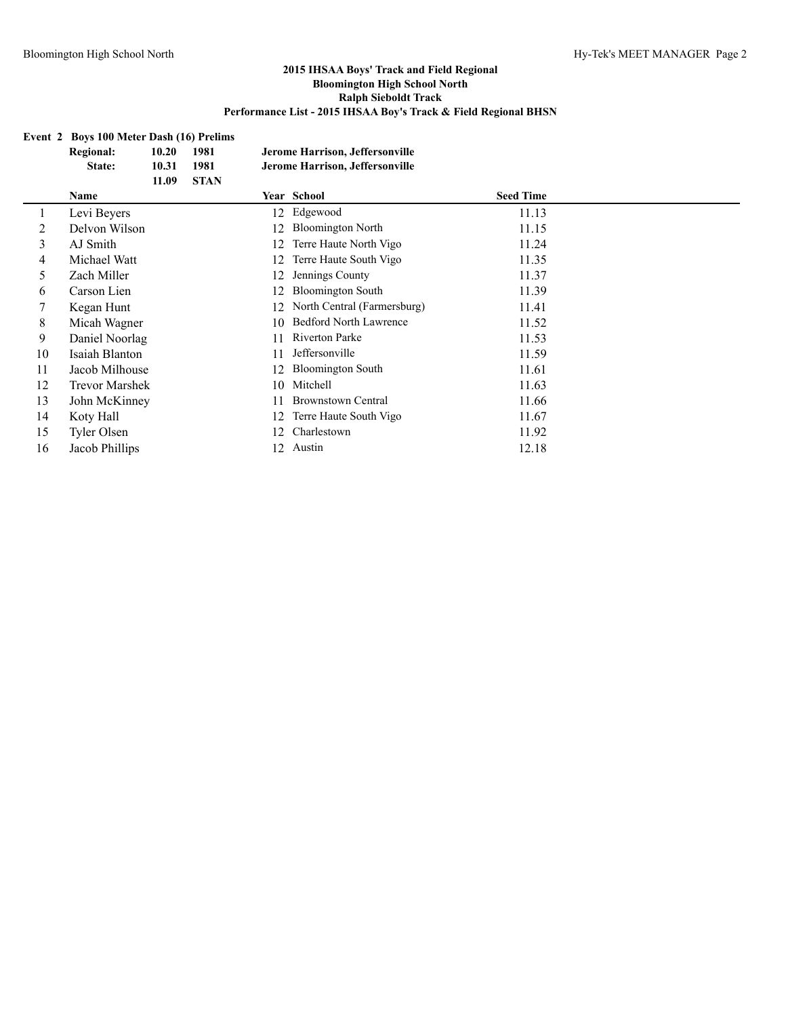# **Event 2 Boys 100 Meter Dash (16) Prelims**

|    | <b>Regional:</b><br>State: | 10.20<br>10.31<br>11.09 | 1981<br>1981<br><b>STAN</b> |    | Jerome Harrison, Jeffersonville<br>Jerome Harrison, Jeffersonville |                  |
|----|----------------------------|-------------------------|-----------------------------|----|--------------------------------------------------------------------|------------------|
|    | Name                       |                         |                             |    | Year School                                                        | <b>Seed Time</b> |
|    | Levi Beyers                |                         |                             | 12 | Edgewood                                                           | 11.13            |
| 2  | Delvon Wilson              |                         |                             | 12 | <b>Bloomington North</b>                                           | 11.15            |
| 3  | AJ Smith                   |                         |                             | 12 | Terre Haute North Vigo                                             | 11.24            |
| 4  | Michael Watt               |                         |                             | 12 | Terre Haute South Vigo                                             | 11.35            |
| 5  | Zach Miller                |                         |                             | 12 | Jennings County                                                    | 11.37            |
| 6  | Carson Lien                |                         |                             | 12 | <b>Bloomington South</b>                                           | 11.39            |
|    | Kegan Hunt                 |                         |                             | 12 | North Central (Farmersburg)                                        | 11.41            |
| 8  | Micah Wagner               |                         |                             | 10 | <b>Bedford North Lawrence</b>                                      | 11.52            |
| 9  | Daniel Noorlag             |                         |                             | 11 | Riverton Parke                                                     | 11.53            |
| 10 | Isaiah Blanton             |                         |                             | 11 | Jeffersonville                                                     | 11.59            |
| 11 | Jacob Milhouse             |                         |                             | 12 | <b>Bloomington South</b>                                           | 11.61            |
| 12 | <b>Trevor Marshek</b>      |                         |                             | 10 | Mitchell                                                           | 11.63            |
| 13 | John McKinney              |                         |                             | 11 | <b>Brownstown Central</b>                                          | 11.66            |
| 14 | Koty Hall                  |                         |                             | 12 | Terre Haute South Vigo                                             | 11.67            |
| 15 | Tyler Olsen                |                         |                             | 12 | Charlestown                                                        | 11.92            |
| 16 | Jacob Phillips             |                         |                             | 12 | Austin                                                             | 12.18            |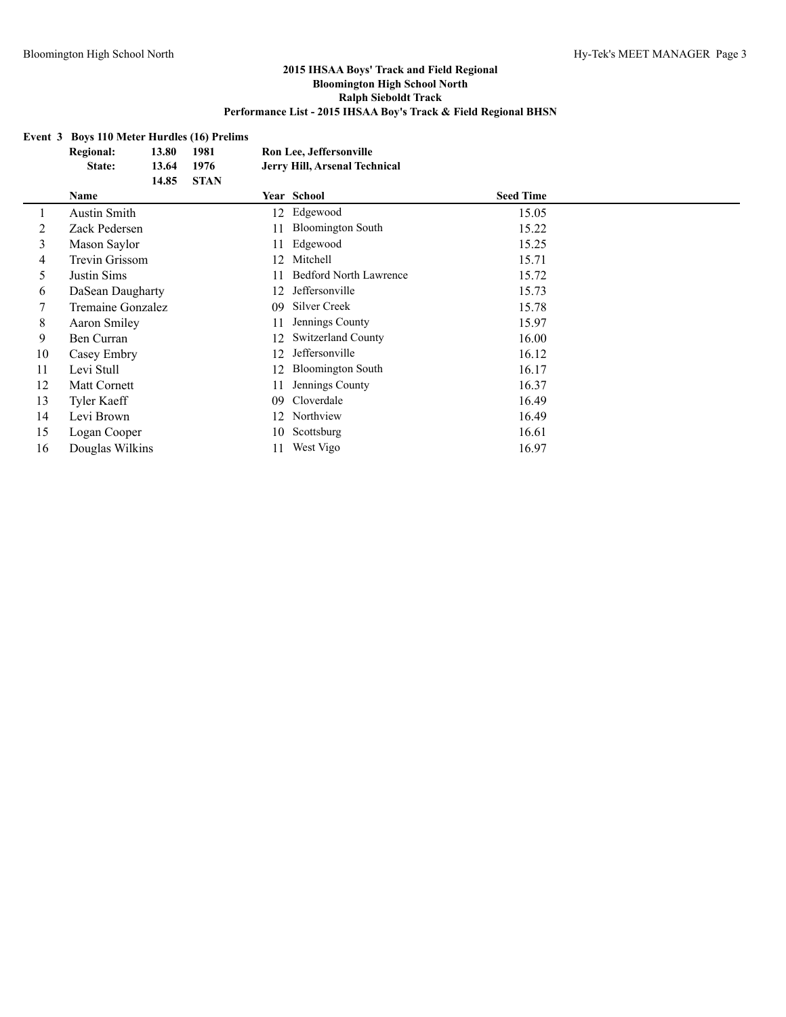# **Event 3 Boys 110 Meter Hurdles (16) Prelims**

|    | <b>Regional:</b>    | 13.80 | 1981        | Ron Lee, Jeffersonville |                               |                  |  |  |
|----|---------------------|-------|-------------|-------------------------|-------------------------------|------------------|--|--|
|    | State:              | 13.64 | 1976        |                         | Jerry Hill, Arsenal Technical |                  |  |  |
|    |                     | 14.85 | <b>STAN</b> |                         |                               |                  |  |  |
|    | <b>Name</b>         |       |             |                         | Year School                   | <b>Seed Time</b> |  |  |
|    | <b>Austin Smith</b> |       |             | 12                      | Edgewood                      | 15.05            |  |  |
| 2  | Zack Pedersen       |       |             | 11                      | <b>Bloomington South</b>      | 15.22            |  |  |
| 3  | Mason Saylor        |       |             | 11                      | Edgewood                      | 15.25            |  |  |
| 4  | Trevin Grissom      |       |             | 12                      | Mitchell                      | 15.71            |  |  |
| 5  | Justin Sims         |       |             |                         | <b>Bedford North Lawrence</b> | 15.72            |  |  |
| 6  | DaSean Daugharty    |       |             | 12                      | Jeffersonville                | 15.73            |  |  |
|    | Tremaine Gonzalez   |       |             | 09                      | Silver Creek                  | 15.78            |  |  |
| 8  | Aaron Smiley        |       |             | 11                      | Jennings County               | 15.97            |  |  |
| 9  | Ben Curran          |       |             | 12                      | <b>Switzerland County</b>     | 16.00            |  |  |
| 10 | Casey Embry         |       |             | 12                      | Jeffersonville                | 16.12            |  |  |
| 11 | Levi Stull          |       |             | 12                      | <b>Bloomington South</b>      | 16.17            |  |  |
| 12 | Matt Cornett        |       |             | 11                      | Jennings County               | 16.37            |  |  |
| 13 | <b>Tyler Kaeff</b>  |       |             | 09                      | Cloverdale                    | 16.49            |  |  |
| 14 | Levi Brown          |       |             | 12                      | Northview                     | 16.49            |  |  |
| 15 | Logan Cooper        |       |             | 10                      | Scottsburg                    | 16.61            |  |  |
| 16 | Douglas Wilkins     |       |             | 11                      | West Vigo                     | 16.97            |  |  |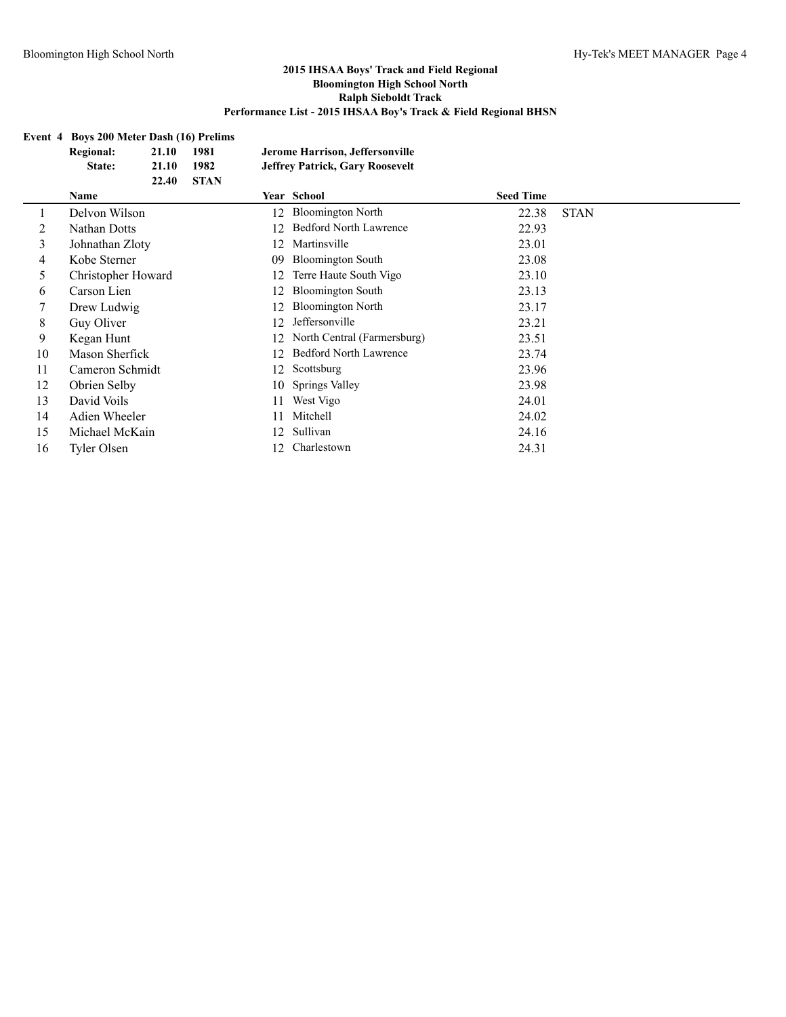# **Event 4 Boys 200 Meter Dash (16) Prelims**

|    | <b>Regional:</b>   | 21.10 | 1981        |    | Jerome Harrison, Jeffersonville        |                  |             |
|----|--------------------|-------|-------------|----|----------------------------------------|------------------|-------------|
|    | State:             | 21.10 | 1982        |    | <b>Jeffrey Patrick, Gary Roosevelt</b> |                  |             |
|    |                    | 22.40 | <b>STAN</b> |    |                                        |                  |             |
|    | <b>Name</b>        |       |             |    | Year School                            | <b>Seed Time</b> |             |
|    | Delvon Wilson      |       |             | 12 | <b>Bloomington North</b>               | 22.38            | <b>STAN</b> |
| 2  | Nathan Dotts       |       |             | 12 | <b>Bedford North Lawrence</b>          | 22.93            |             |
| 3  | Johnathan Zloty    |       |             | 12 | Martinsville                           | 23.01            |             |
| 4  | Kobe Sterner       |       |             | 09 | <b>Bloomington South</b>               | 23.08            |             |
| 5  | Christopher Howard |       |             | 12 | Terre Haute South Vigo                 | 23.10            |             |
| 6  | Carson Lien        |       |             | 12 | <b>Bloomington South</b>               | 23.13            |             |
|    | Drew Ludwig        |       |             | 12 | <b>Bloomington North</b>               | 23.17            |             |
| 8  | Guy Oliver         |       |             | 12 | Jeffersonville                         | 23.21            |             |
| 9  | Kegan Hunt         |       |             | 12 | North Central (Farmersburg)            | 23.51            |             |
| 10 | Mason Sherfick     |       |             | 12 | <b>Bedford North Lawrence</b>          | 23.74            |             |
| 11 | Cameron Schmidt    |       |             | 12 | Scottsburg                             | 23.96            |             |
| 12 | Obrien Selby       |       |             | 10 | Springs Valley                         | 23.98            |             |
| 13 | David Voils        |       |             | 11 | West Vigo                              | 24.01            |             |
| 14 | Adien Wheeler      |       |             | 11 | Mitchell                               | 24.02            |             |
| 15 | Michael McKain     |       |             | 12 | Sullivan                               | 24.16            |             |
| 16 | <b>Tyler Olsen</b> |       |             | 12 | Charlestown                            | 24.31            |             |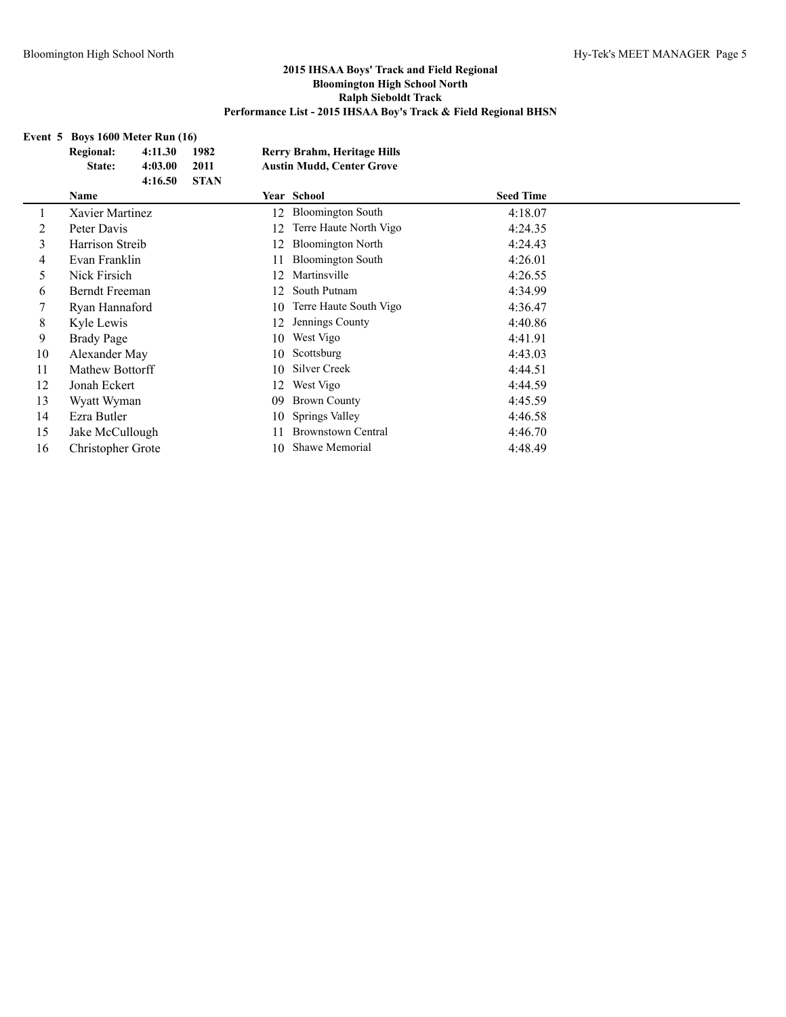# **Event 5 Boys 1600 Meter Run (16)**

|         | <b>Regional:</b><br>State: | 4:11.30<br>4:03.00 | 1982<br>2011 |    | <b>Rerry Brahm, Heritage Hills</b><br><b>Austin Mudd, Center Grove</b> |                  |  |
|---------|----------------------------|--------------------|--------------|----|------------------------------------------------------------------------|------------------|--|
|         |                            | 4:16.50            | <b>STAN</b>  |    |                                                                        |                  |  |
|         | <b>Name</b>                |                    |              |    | Year School                                                            | <b>Seed Time</b> |  |
| $\perp$ | Xavier Martinez            |                    |              | 12 | <b>Bloomington South</b>                                               | 4:18.07          |  |
| 2       | Peter Davis                |                    |              | 12 | Terre Haute North Vigo                                                 | 4:24.35          |  |
| 3       | Harrison Streib            |                    |              | 12 | <b>Bloomington North</b>                                               | 4:24.43          |  |
| 4       | Evan Franklin              |                    |              | 11 | <b>Bloomington South</b>                                               | 4:26.01          |  |
| 5       | Nick Firsich               |                    |              | 12 | Martinsville                                                           | 4:26.55          |  |
| 6       | <b>Berndt Freeman</b>      |                    |              | 12 | South Putnam                                                           | 4:34.99          |  |
|         | Ryan Hannaford             |                    |              | 10 | Terre Haute South Vigo                                                 | 4:36.47          |  |
| 8       | Kyle Lewis                 |                    |              | 12 | Jennings County                                                        | 4:40.86          |  |
| 9       | Brady Page                 |                    |              | 10 | West Vigo                                                              | 4:41.91          |  |
| 10      | Alexander May              |                    |              | 10 | Scottsburg                                                             | 4:43.03          |  |
| 11      | Mathew Bottorff            |                    |              | 10 | Silver Creek                                                           | 4:44.51          |  |
| 12      | Jonah Eckert               |                    |              | 12 | West Vigo                                                              | 4:44.59          |  |
| 13      | Wyatt Wyman                |                    |              | 09 | <b>Brown County</b>                                                    | 4:45.59          |  |
| 14      | Ezra Butler                |                    |              | 10 | Springs Valley                                                         | 4:46.58          |  |
| 15      | Jake McCullough            |                    |              | 11 | <b>Brownstown Central</b>                                              | 4:46.70          |  |
| 16      | Christopher Grote          |                    |              | 10 | Shawe Memorial                                                         | 4:48.49          |  |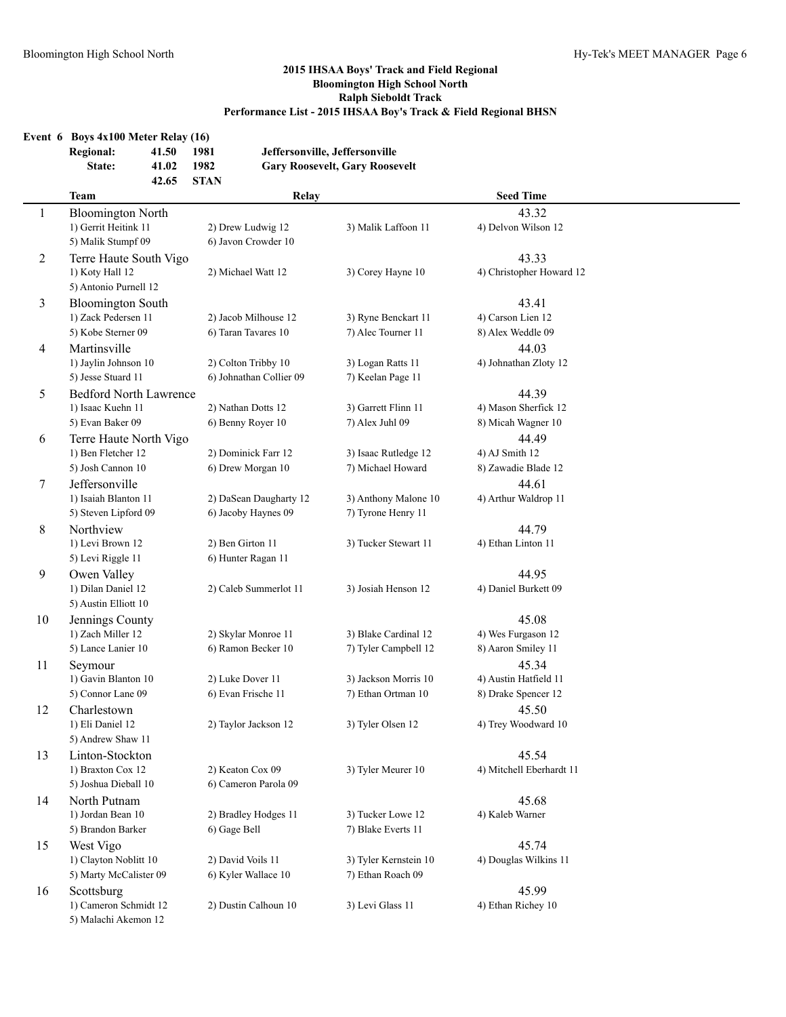## **Event 6 Boys 4x100 Meter Relay (16)**

| <b>Regional:</b> | 41.50 | 1981  | Jeffersonville, Jeffersonville        |
|------------------|-------|-------|---------------------------------------|
| State:           | 41.02 | 1982  | <b>Gary Roosevelt, Gary Roosevelt</b> |
|                  | 42.65 | -STAN |                                       |

|    | <b>Team</b>                   | Relay                   |                       | <b>Seed Time</b>         |  |
|----|-------------------------------|-------------------------|-----------------------|--------------------------|--|
| 1  | <b>Bloomington North</b>      |                         |                       | 43.32                    |  |
|    | 1) Gerrit Heitink 11          | 2) Drew Ludwig 12       | 3) Malik Laffoon 11   | 4) Delvon Wilson 12      |  |
|    | 5) Malik Stumpf 09            | 6) Javon Crowder 10     |                       |                          |  |
| 2  | Terre Haute South Vigo        |                         |                       | 43.33                    |  |
|    | 1) Koty Hall 12               | 2) Michael Watt 12      | 3) Corey Hayne 10     | 4) Christopher Howard 12 |  |
|    | 5) Antonio Purnell 12         |                         |                       |                          |  |
| 3  | <b>Bloomington South</b>      |                         |                       | 43.41                    |  |
|    | 1) Zack Pedersen 11           | 2) Jacob Milhouse 12    | 3) Ryne Benckart 11   | 4) Carson Lien 12        |  |
|    | 5) Kobe Sterner 09            | 6) Taran Tavares 10     | 7) Alec Tourner 11    | 8) Alex Weddle 09        |  |
|    |                               |                         |                       |                          |  |
| 4  | Martinsville                  |                         |                       | 44.03                    |  |
|    | 1) Jaylin Johnson 10          | 2) Colton Tribby 10     | 3) Logan Ratts 11     | 4) Johnathan Zloty 12    |  |
|    | 5) Jesse Stuard 11            | 6) Johnathan Collier 09 | 7) Keelan Page 11     |                          |  |
| 5  | <b>Bedford North Lawrence</b> |                         |                       | 44.39                    |  |
|    | 1) Isaac Kuehn 11             | 2) Nathan Dotts 12      | 3) Garrett Flinn 11   | 4) Mason Sherfick 12     |  |
|    | 5) Evan Baker 09              | 6) Benny Royer 10       | 7) Alex Juhl 09       | 8) Micah Wagner 10       |  |
| 6  | Terre Haute North Vigo        |                         |                       | 44.49                    |  |
|    | 1) Ben Fletcher 12            | 2) Dominick Farr 12     | 3) Isaac Rutledge 12  | 4) AJ Smith 12           |  |
|    | 5) Josh Cannon 10             | 6) Drew Morgan 10       | 7) Michael Howard     | 8) Zawadie Blade 12      |  |
| 7  | Jeffersonville                |                         |                       | 44.61                    |  |
|    | 1) Isaiah Blanton 11          | 2) DaSean Daugharty 12  | 3) Anthony Malone 10  | 4) Arthur Waldrop 11     |  |
|    | 5) Steven Lipford 09          | 6) Jacoby Haynes 09     | 7) Tyrone Henry 11    |                          |  |
| 8  | Northview                     |                         |                       | 44.79                    |  |
|    | 1) Levi Brown 12              | 2) Ben Girton 11        | 3) Tucker Stewart 11  | 4) Ethan Linton 11       |  |
|    | 5) Levi Riggle 11             | 6) Hunter Ragan 11      |                       |                          |  |
| 9  | Owen Valley                   |                         |                       | 44.95                    |  |
|    | 1) Dilan Daniel 12            | 2) Caleb Summerlot 11   | 3) Josiah Henson 12   | 4) Daniel Burkett 09     |  |
|    | 5) Austin Elliott 10          |                         |                       |                          |  |
| 10 | Jennings County               |                         |                       | 45.08                    |  |
|    | 1) Zach Miller 12             | 2) Skylar Monroe 11     | 3) Blake Cardinal 12  | 4) Wes Furgason 12       |  |
|    | 5) Lance Lanier 10            | 6) Ramon Becker 10      | 7) Tyler Campbell 12  | 8) Aaron Smiley 11       |  |
| 11 | Seymour                       |                         |                       | 45.34                    |  |
|    | 1) Gavin Blanton 10           | 2) Luke Dover 11        | 3) Jackson Morris 10  | 4) Austin Hatfield 11    |  |
|    | 5) Connor Lane 09             | 6) Evan Frische 11      | 7) Ethan Ortman 10    | 8) Drake Spencer 12      |  |
| 12 | Charlestown                   |                         |                       | 45.50                    |  |
|    | 1) Eli Daniel 12              | 2) Taylor Jackson 12    | 3) Tyler Olsen 12     | 4) Trey Woodward 10      |  |
|    | 5) Andrew Shaw 11             |                         |                       |                          |  |
| 13 | Linton-Stockton               |                         |                       | 45.54                    |  |
|    | 1) Braxton Cox 12             | 2) Keaton Cox 09        | 3) Tyler Meurer 10    | 4) Mitchell Eberhardt 11 |  |
|    | 5) Joshua Dieball 10          | 6) Cameron Parola 09    |                       |                          |  |
| 14 | North Putnam                  |                         |                       | 45.68                    |  |
|    | 1) Jordan Bean 10             | 2) Bradley Hodges 11    | 3) Tucker Lowe 12     | 4) Kaleb Warner          |  |
|    | 5) Brandon Barker             | 6) Gage Bell            | 7) Blake Everts 11    |                          |  |
| 15 | West Vigo                     |                         |                       | 45.74                    |  |
|    | 1) Clayton Noblitt 10         | 2) David Voils 11       | 3) Tyler Kernstein 10 | 4) Douglas Wilkins 11    |  |
|    | 5) Marty McCalister 09        | 6) Kyler Wallace 10     | 7) Ethan Roach 09     |                          |  |
| 16 | Scottsburg                    |                         |                       | 45.99                    |  |
|    | 1) Cameron Schmidt 12         | 2) Dustin Calhoun 10    | 3) Levi Glass 11      | 4) Ethan Richey 10       |  |
|    | 5) Malachi Akemon 12          |                         |                       |                          |  |
|    |                               |                         |                       |                          |  |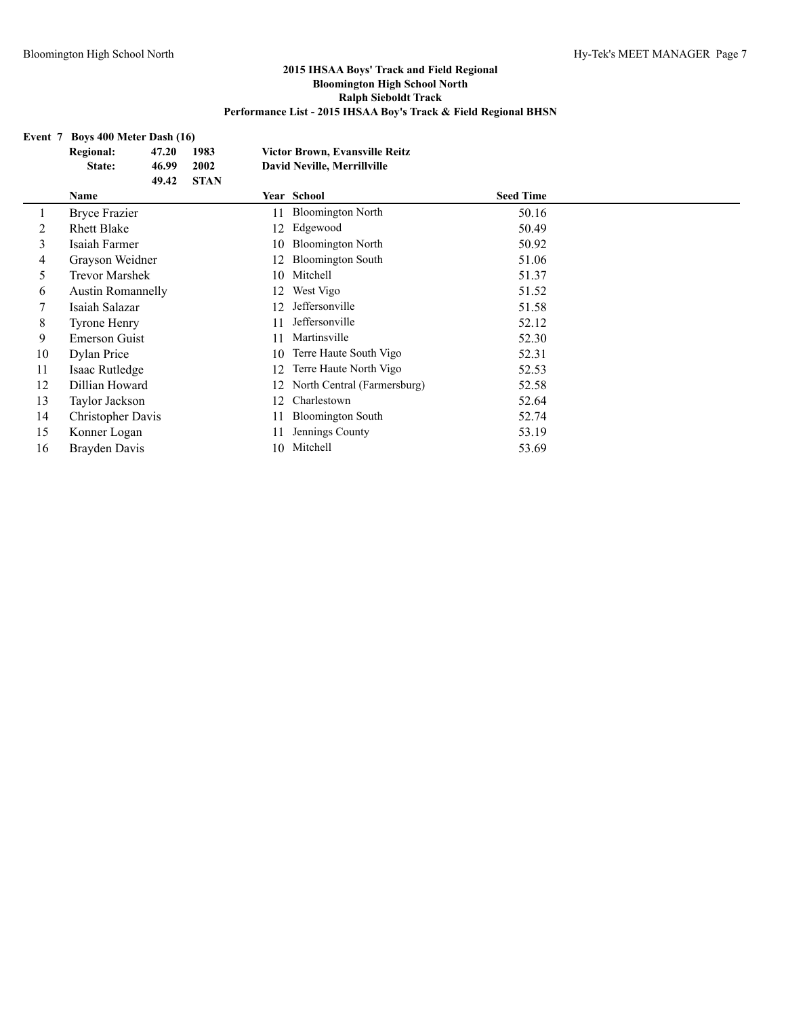# **Event 7 Boys 400 Meter Dash (16)**

|    | <b>Regional:</b>         | 47.20 | 1983        |    | <b>Victor Brown, Evansville Reitz</b> |                  |  |
|----|--------------------------|-------|-------------|----|---------------------------------------|------------------|--|
|    | State:                   | 46.99 | 2002        |    | <b>David Neville, Merrillville</b>    |                  |  |
|    |                          | 49.42 | <b>STAN</b> |    |                                       |                  |  |
|    | Name                     |       |             |    | Year School                           | <b>Seed Time</b> |  |
|    | <b>Bryce Frazier</b>     |       |             | 11 | <b>Bloomington North</b>              | 50.16            |  |
| 2  | <b>Rhett Blake</b>       |       |             | 12 | Edgewood                              | 50.49            |  |
| 3  | Isaiah Farmer            |       |             | 10 | <b>Bloomington North</b>              | 50.92            |  |
| 4  | Grayson Weidner          |       |             | 12 | <b>Bloomington South</b>              | 51.06            |  |
| 5  | <b>Trevor Marshek</b>    |       |             | 10 | Mitchell                              | 51.37            |  |
| 6  | <b>Austin Romannelly</b> |       |             | 12 | West Vigo                             | 51.52            |  |
|    | Isaiah Salazar           |       |             | 12 | Jeffersonville                        | 51.58            |  |
| 8  | <b>Tyrone Henry</b>      |       |             | 11 | Jeffersonville                        | 52.12            |  |
| 9  | <b>Emerson Guist</b>     |       |             | 11 | Martinsville                          | 52.30            |  |
| 10 | Dylan Price              |       |             | 10 | Terre Haute South Vigo                | 52.31            |  |
| 11 | Isaac Rutledge           |       |             | 12 | Terre Haute North Vigo                | 52.53            |  |
| 12 | Dillian Howard           |       |             | 12 | North Central (Farmersburg)           | 52.58            |  |
| 13 | Taylor Jackson           |       |             | 12 | Charlestown                           | 52.64            |  |
| 14 | Christopher Davis        |       |             | 11 | <b>Bloomington South</b>              | 52.74            |  |
| 15 | Konner Logan             |       |             | 11 | Jennings County                       | 53.19            |  |
| 16 | Brayden Davis            |       |             | 10 | Mitchell                              | 53.69            |  |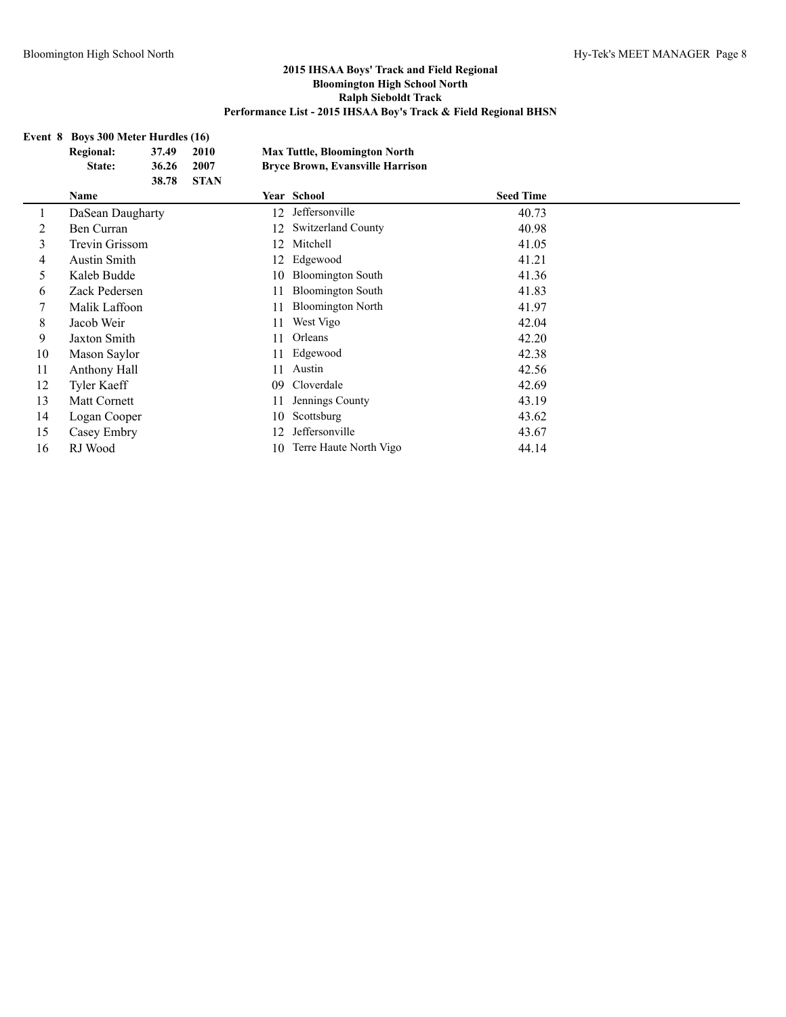## **Event 8 Boys 300 Meter Hurdles (16) Regional: 37.49 2010 Max Tuttle, Bloomington North State: 36.26 2007 Bryce Brown, Evansville Harrison 38.78 STAN Name Year School Seed Time** 1 DaSean Daugharty 12 Jeffersonville 40.73 2 Ben Curran 12 Switzerland County 40.98 3 Trevin Grissom 12 Mitchell 41.05 4 Austin Smith 12 Edgewood 41.21 5 Kaleb Budde 10 Bloomington South 41.36 6 Zack Pedersen 11 Bloomington South 41.83 7 Malik Laffoon 11 Bloomington North 41.97 8 Jacob Weir 11 West Vigo 42.04 9 Jaxton Smith 11 Orleans 42.20 10 Mason Saylor 11 Edgewood 42.38 11 Anthony Hall 11 Austin 42.56 12 Tyler Kaeff 09 Cloverdale 42.69 13 Matt Cornett 11 Jennings County 43.19 14 Logan Cooper 10 Scottsburg 43.62 15 Casey Embry 12 Jeffersonville 43.67 16 RJ Wood 10 Terre Haute North Vigo 44.14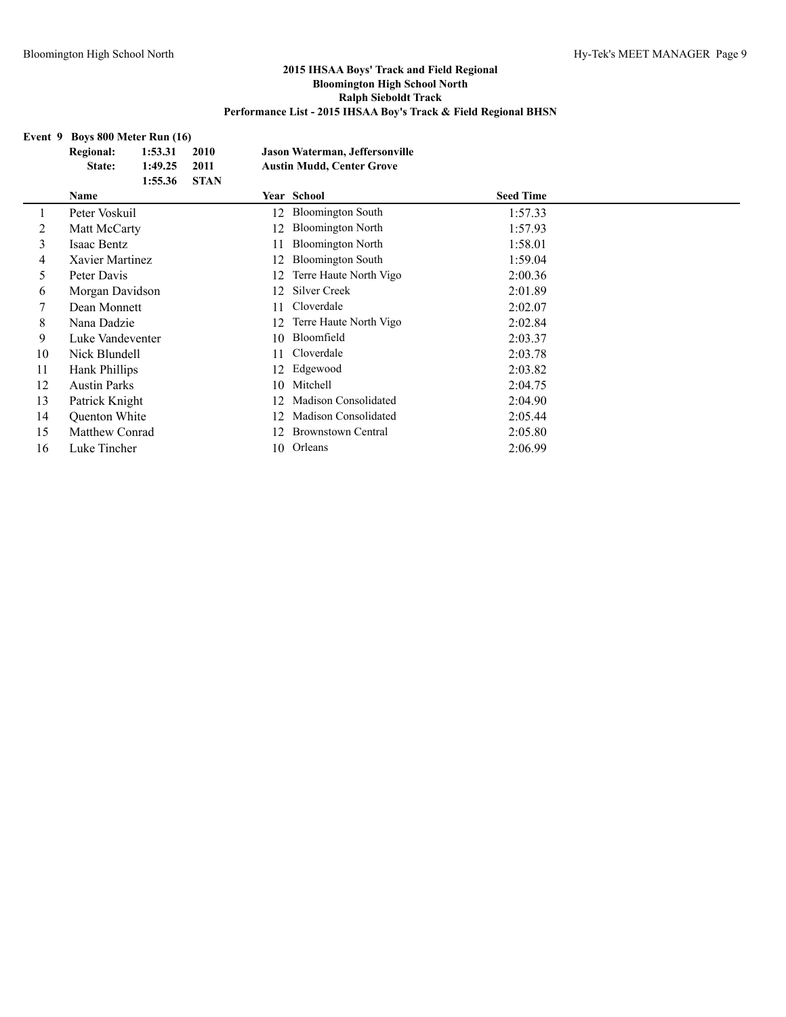# **Event 9 Boys 800 Meter Run (16)**

|    | <b>Regional:</b>    | 1:53.31 | 2010        |    | Jason Waterman, Jeffersonville   |                  |
|----|---------------------|---------|-------------|----|----------------------------------|------------------|
|    | State:              | 1:49.25 | 2011        |    | <b>Austin Mudd, Center Grove</b> |                  |
|    |                     | 1:55.36 | <b>STAN</b> |    |                                  |                  |
|    | <b>Name</b>         |         |             |    | Year School                      | <b>Seed Time</b> |
|    | Peter Voskuil       |         |             | 12 | <b>Bloomington South</b>         | 1:57.33          |
| 2  | Matt McCarty        |         |             | 12 | <b>Bloomington North</b>         | 1:57.93          |
| 3  | Isaac Bentz         |         |             | 11 | <b>Bloomington North</b>         | 1:58.01          |
| 4  | Xavier Martinez     |         |             | 12 | <b>Bloomington South</b>         | 1:59.04          |
| 5  | Peter Davis         |         |             | 12 | Terre Haute North Vigo           | 2:00.36          |
| 6  | Morgan Davidson     |         |             | 12 | Silver Creek                     | 2:01.89          |
| 7  | Dean Monnett        |         |             | 11 | Cloverdale                       | 2:02.07          |
| 8  | Nana Dadzie         |         |             | 12 | Terre Haute North Vigo           | 2:02.84          |
| 9  | Luke Vandeventer    |         |             | 10 | Bloomfield                       | 2:03.37          |
| 10 | Nick Blundell       |         |             | 11 | Cloverdale                       | 2:03.78          |
| 11 | Hank Phillips       |         |             | 12 | Edgewood                         | 2:03.82          |
| 12 | <b>Austin Parks</b> |         |             | 10 | Mitchell                         | 2:04.75          |
| 13 | Patrick Knight      |         |             | 12 | Madison Consolidated             | 2:04.90          |
| 14 | Quenton White       |         |             | 12 | <b>Madison Consolidated</b>      | 2:05.44          |
| 15 | Matthew Conrad      |         |             | 12 | Brownstown Central               | 2:05.80          |
| 16 | Luke Tincher        |         |             | 10 | Orleans                          | 2:06.99          |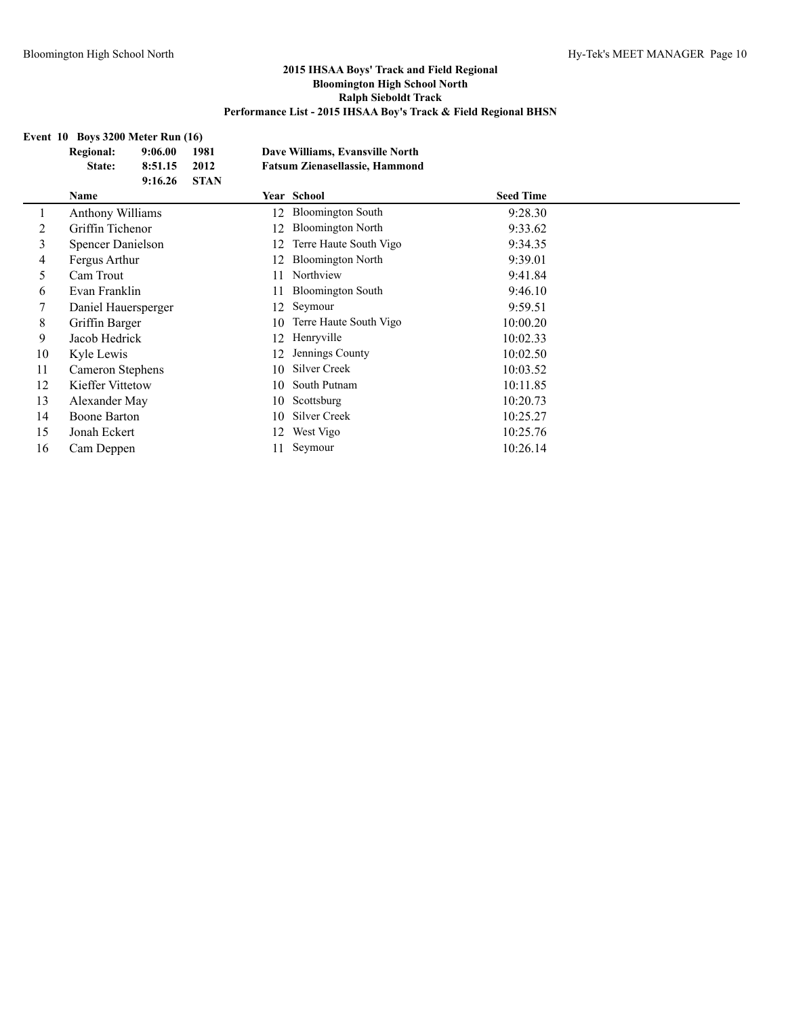## **Event 10 Boys 3200 Meter Run (16)**

|    | <b>Regional:</b><br>State: | 9:06.00<br>8:51.15 | 1981<br>2012 |    | Dave Williams, Evansville North<br><b>Fatsum Zienasellassie, Hammond</b> |                  |  |
|----|----------------------------|--------------------|--------------|----|--------------------------------------------------------------------------|------------------|--|
|    |                            | 9:16.26            | <b>STAN</b>  |    |                                                                          |                  |  |
|    | Name                       |                    |              |    | Year School                                                              | <b>Seed Time</b> |  |
|    | <b>Anthony Williams</b>    |                    |              | 12 | <b>Bloomington South</b>                                                 | 9:28.30          |  |
| 2  | Griffin Tichenor           |                    |              | 12 | <b>Bloomington North</b>                                                 | 9:33.62          |  |
| 3  | Spencer Danielson          |                    |              | 12 | Terre Haute South Vigo                                                   | 9:34.35          |  |
| 4  | Fergus Arthur              |                    |              | 12 | <b>Bloomington North</b>                                                 | 9:39.01          |  |
| 5  | Cam Trout                  |                    |              | 11 | Northview                                                                | 9:41.84          |  |
| 6  | Evan Franklin              |                    |              | 11 | <b>Bloomington South</b>                                                 | 9:46.10          |  |
|    | Daniel Hauersperger        |                    |              | 12 | Seymour                                                                  | 9:59.51          |  |
| 8  | Griffin Barger             |                    |              | 10 | Terre Haute South Vigo                                                   | 10:00.20         |  |
| 9  | Jacob Hedrick              |                    |              | 12 | Henryville                                                               | 10:02.33         |  |
| 10 | Kyle Lewis                 |                    |              | 12 | Jennings County                                                          | 10:02.50         |  |
| 11 | Cameron Stephens           |                    |              | 10 | Silver Creek                                                             | 10:03.52         |  |
| 12 | Kieffer Vittetow           |                    |              | 10 | South Putnam                                                             | 10:11.85         |  |
| 13 | Alexander May              |                    |              | 10 | Scottsburg                                                               | 10:20.73         |  |
| 14 | Boone Barton               |                    |              | 10 | Silver Creek                                                             | 10:25.27         |  |
| 15 | Jonah Eckert               |                    |              | 12 | West Vigo                                                                | 10:25.76         |  |
| 16 | Cam Deppen                 |                    |              |    | Seymour                                                                  | 10:26.14         |  |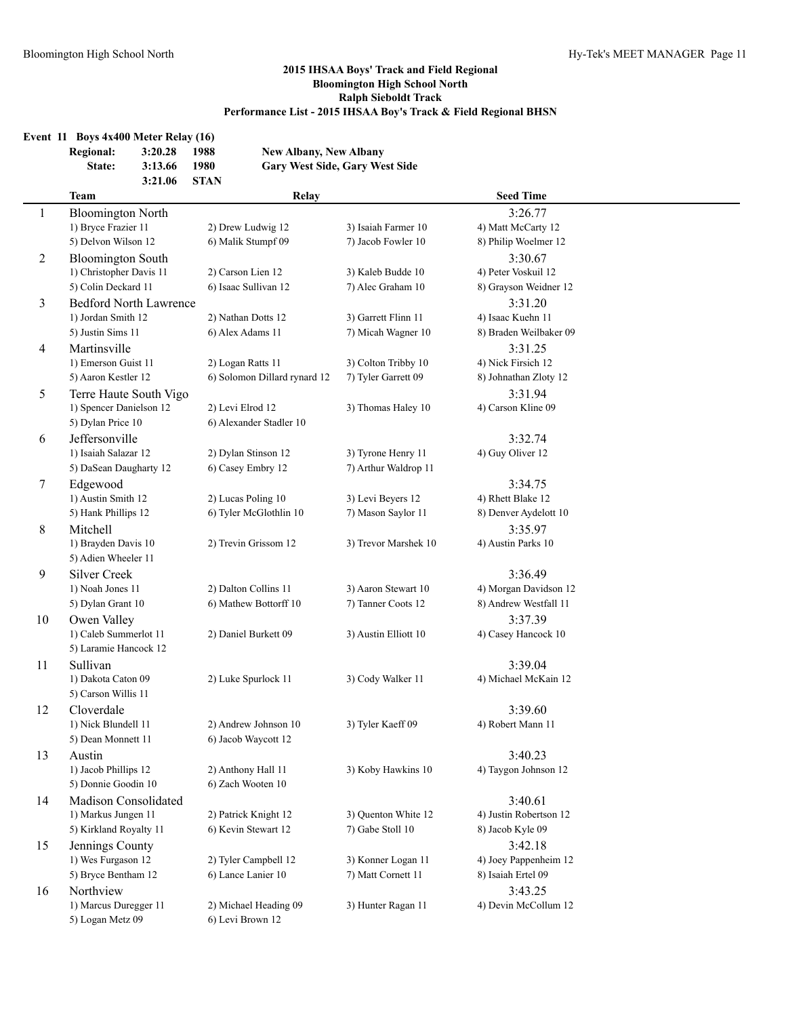|                | Event $11$ Boys $4x400$ Meter Relay $(16)$<br><b>Regional:</b><br>State:   | 3:20.28<br>3:13.66 | 1988<br>1980     | <b>New Albany, New Albany</b>                     | <b>Gary West Side, Gary West Side</b>      |                                                           |  |
|----------------|----------------------------------------------------------------------------|--------------------|------------------|---------------------------------------------------|--------------------------------------------|-----------------------------------------------------------|--|
|                | <b>Team</b>                                                                | 3:21.06            | <b>STAN</b>      | Relay                                             |                                            | <b>Seed Time</b>                                          |  |
| 1              | <b>Bloomington North</b><br>1) Bryce Frazier 11                            |                    |                  | 2) Drew Ludwig 12                                 | 3) Isaiah Farmer 10                        | 3:26.77<br>4) Matt McCarty 12                             |  |
| $\overline{2}$ | 5) Delvon Wilson 12<br><b>Bloomington South</b><br>1) Christopher Davis 11 |                    |                  | 6) Malik Stumpf 09<br>2) Carson Lien 12           | 7) Jacob Fowler 10<br>3) Kaleb Budde 10    | 8) Philip Woelmer 12<br>3:30.67<br>4) Peter Voskuil 12    |  |
|                | 5) Colin Deckard 11                                                        |                    |                  | 6) Isaac Sullivan 12                              | 7) Alec Graham 10                          | 8) Grayson Weidner 12                                     |  |
| 3              | <b>Bedford North Lawrence</b><br>1) Jordan Smith 12<br>5) Justin Sims 11   |                    |                  | 2) Nathan Dotts 12<br>6) Alex Adams 11            | 3) Garrett Flinn 11<br>7) Micah Wagner 10  | 3:31.20<br>4) Isaac Kuehn 11<br>8) Braden Weilbaker 09    |  |
| 4              | Martinsville<br>1) Emerson Guist 11<br>5) Aaron Kestler 12                 |                    |                  | 2) Logan Ratts 11<br>6) Solomon Dillard rynard 12 | 3) Colton Tribby 10<br>7) Tyler Garrett 09 | 3:31.25<br>4) Nick Firsich 12<br>8) Johnathan Zloty 12    |  |
| 5              | Terre Haute South Vigo<br>1) Spencer Danielson 12<br>5) Dylan Price 10     |                    | 2) Levi Elrod 12 | 6) Alexander Stadler 10                           | 3) Thomas Haley 10                         | 3:31.94<br>4) Carson Kline 09                             |  |
| 6              | Jeffersonville<br>1) Isaiah Salazar 12<br>5) DaSean Daugharty 12           |                    |                  | 2) Dylan Stinson 12<br>6) Casey Embry 12          | 3) Tyrone Henry 11<br>7) Arthur Waldrop 11 | 3:32.74<br>4) Guy Oliver 12                               |  |
| 7              | Edgewood<br>1) Austin Smith 12<br>5) Hank Phillips 12                      |                    |                  | 2) Lucas Poling 10<br>6) Tyler McGlothlin 10      | 3) Levi Beyers 12<br>7) Mason Saylor 11    | 3:34.75<br>4) Rhett Blake 12<br>8) Denver Aydelott 10     |  |
| 8              | Mitchell<br>1) Brayden Davis 10<br>5) Adien Wheeler 11                     |                    |                  | 2) Trevin Grissom 12                              | 3) Trevor Marshek 10                       | 3:35.97<br>4) Austin Parks 10                             |  |
| 9              | <b>Silver Creek</b><br>1) Noah Jones 11<br>5) Dylan Grant 10               |                    |                  | 2) Dalton Collins 11<br>6) Mathew Bottorff 10     | 3) Aaron Stewart 10<br>7) Tanner Coots 12  | 3:36.49<br>4) Morgan Davidson 12<br>8) Andrew Westfall 11 |  |
| 10             | Owen Valley<br>1) Caleb Summerlot 11<br>5) Laramie Hancock 12              |                    |                  | 2) Daniel Burkett 09                              | 3) Austin Elliott 10                       | 3:37.39<br>4) Casey Hancock 10                            |  |
| 11             | Sullivan<br>1) Dakota Caton 09<br>5) Carson Willis 11                      |                    |                  | 2) Luke Spurlock 11                               | 3) Cody Walker 11                          | 3:39.04<br>4) Michael McKain 12                           |  |
| 12             | Cloverdale<br>1) Nick Blundell 11<br>5) Dean Monnett 11                    |                    |                  | 2) Andrew Johnson 10<br>6) Jacob Waycott 12       | 3) Tyler Kaeff 09                          | 3:39.60<br>4) Robert Mann 11                              |  |
| 13             | Austin<br>1) Jacob Phillips 12<br>5) Donnie Goodin 10                      |                    |                  | 2) Anthony Hall 11<br>6) Zach Wooten 10           | 3) Koby Hawkins 10                         | 3:40.23<br>4) Taygon Johnson 12                           |  |
| 14             | Madison Consolidated<br>1) Markus Jungen 11<br>5) Kirkland Royalty 11      |                    |                  | 2) Patrick Knight 12<br>6) Kevin Stewart 12       | 3) Quenton White 12<br>7) Gabe Stoll 10    | 3:40.61<br>4) Justin Robertson 12<br>8) Jacob Kyle 09     |  |
| 15             | Jennings County<br>1) Wes Furgason 12<br>5) Bryce Bentham 12               |                    |                  | 2) Tyler Campbell 12<br>6) Lance Lanier 10        | 3) Konner Logan 11<br>7) Matt Cornett 11   | 3:42.18<br>4) Joey Pappenheim 12<br>8) Isaiah Ertel 09    |  |
| 16             | Northview<br>1) Marcus Duregger 11<br>5) Logan Metz 09                     |                    |                  | 2) Michael Heading 09<br>6) Levi Brown 12         | 3) Hunter Ragan 11                         | 3:43.25<br>4) Devin McCollum 12                           |  |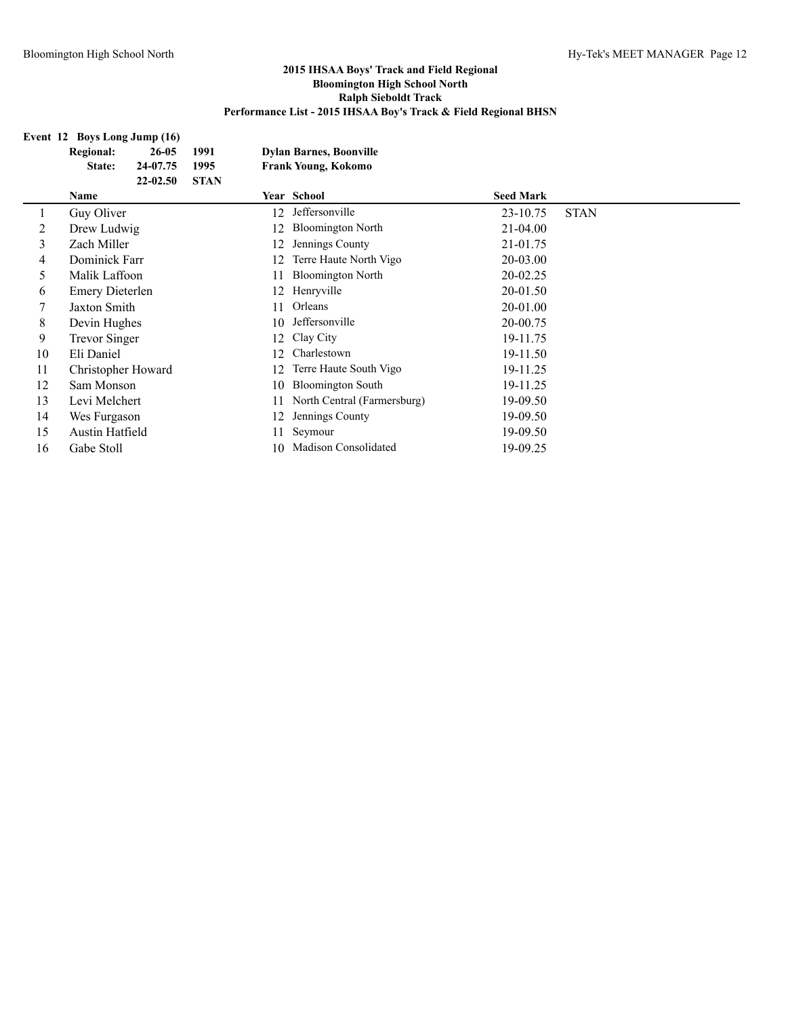## **Event 12 Boys Long Jump (16)**

|    | <b>Regional:</b>       | 26-05    | 1991        |    | <b>Dylan Barnes, Boonville</b> |                  |             |
|----|------------------------|----------|-------------|----|--------------------------------|------------------|-------------|
|    | State:                 | 24-07.75 | 1995        |    | <b>Frank Young, Kokomo</b>     |                  |             |
|    |                        | 22-02.50 | <b>STAN</b> |    |                                |                  |             |
|    | Name                   |          |             |    | Year School                    | <b>Seed Mark</b> |             |
|    | Guy Oliver             |          |             | 12 | Jeffersonville                 | 23-10.75         | <b>STAN</b> |
| 2  | Drew Ludwig            |          |             | 12 | <b>Bloomington North</b>       | $21 - 04.00$     |             |
| 3  | Zach Miller            |          |             | 12 | Jennings County                | 21-01.75         |             |
| 4  | Dominick Farr          |          |             | 12 | Terre Haute North Vigo         | 20-03.00         |             |
| 5  | Malik Laffoon          |          |             | 11 | <b>Bloomington North</b>       | 20-02.25         |             |
| 6  | <b>Emery Dieterlen</b> |          |             | 12 | Henryville                     | 20-01.50         |             |
|    | Jaxton Smith           |          |             | 11 | Orleans                        | 20-01.00         |             |
| 8  | Devin Hughes           |          |             | 10 | Jeffersonville                 | 20-00.75         |             |
| 9  | <b>Trevor Singer</b>   |          |             | 12 | Clay City                      | 19-11.75         |             |
| 10 | Eli Daniel             |          |             | 12 | Charlestown                    | 19-11.50         |             |
| 11 | Christopher Howard     |          |             | 12 | Terre Haute South Vigo         | 19-11.25         |             |
| 12 | Sam Monson             |          |             | 10 | <b>Bloomington South</b>       | 19-11.25         |             |
| 13 | Levi Melchert          |          |             | 11 | North Central (Farmersburg)    | 19-09.50         |             |
| 14 | Wes Furgason           |          |             | 12 | Jennings County                | 19-09.50         |             |
| 15 | Austin Hatfield        |          |             | 11 | Seymour                        | 19-09.50         |             |
| 16 | Gabe Stoll             |          |             | 10 | <b>Madison Consolidated</b>    | 19-09.25         |             |
|    |                        |          |             |    |                                |                  |             |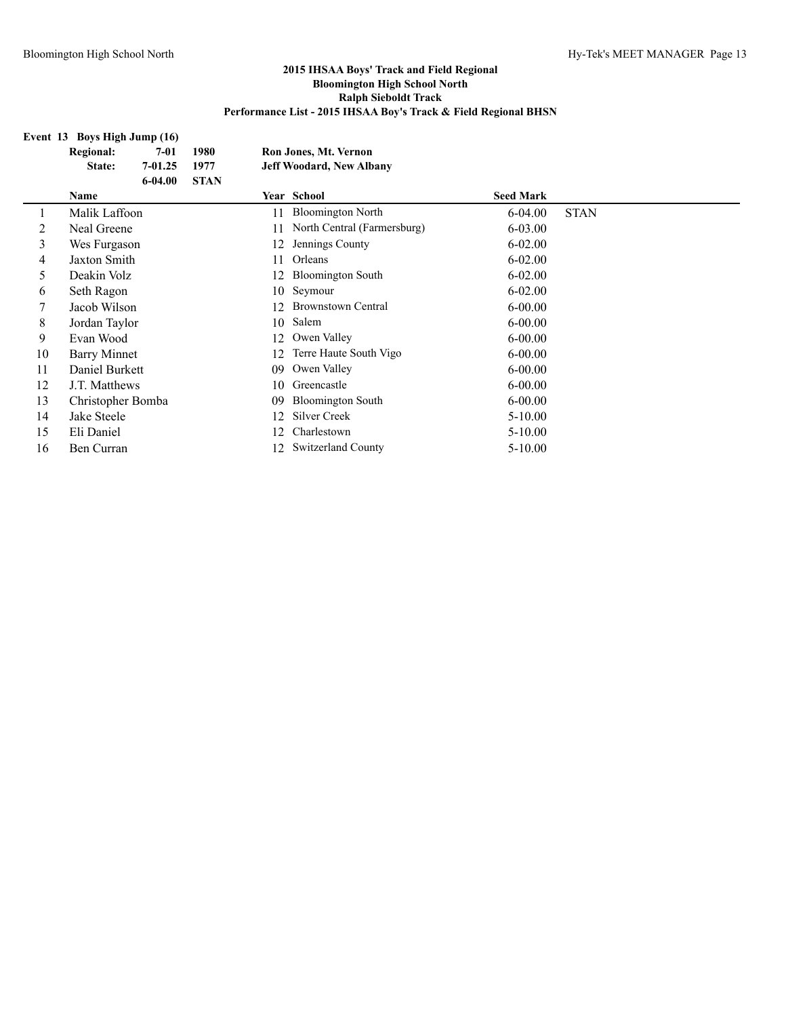#### **Event 13 Boys High Jump (16)**

|    | <b>Regional:</b>  | $7 - 01$    | 1980        |    | Ron Jones, Mt. Vernon           |                  |             |
|----|-------------------|-------------|-------------|----|---------------------------------|------------------|-------------|
|    | State:            | $7 - 01.25$ | 1977        |    | <b>Jeff Woodard, New Albany</b> |                  |             |
|    |                   | $6 - 04.00$ | <b>STAN</b> |    |                                 |                  |             |
|    | Name              |             |             |    | Year School                     | <b>Seed Mark</b> |             |
|    | Malik Laffoon     |             |             | 11 | <b>Bloomington North</b>        | $6 - 04.00$      | <b>STAN</b> |
| 2  | Neal Greene       |             |             | 11 | North Central (Farmersburg)     | $6 - 03.00$      |             |
| 3  | Wes Furgason      |             |             | 12 | Jennings County                 | $6 - 02.00$      |             |
| 4  | Jaxton Smith      |             |             | 11 | Orleans                         | $6 - 02.00$      |             |
| 5  | Deakin Volz       |             |             | 12 | <b>Bloomington South</b>        | $6 - 02.00$      |             |
| 6  | Seth Ragon        |             |             | 10 | Seymour                         | $6 - 02.00$      |             |
|    | Jacob Wilson      |             |             | 12 | <b>Brownstown Central</b>       | $6 - 00.00$      |             |
| 8  | Jordan Taylor     |             |             | 10 | Salem                           | $6 - 00.00$      |             |
| 9  | Evan Wood         |             |             | 12 | Owen Valley                     | $6 - 00.00$      |             |
| 10 | Barry Minnet      |             |             | 12 | Terre Haute South Vigo          | $6 - 00.00$      |             |
| 11 | Daniel Burkett    |             |             | 09 | Owen Valley                     | $6 - 00.00$      |             |
| 12 | J.T. Matthews     |             |             | 10 | Greencastle                     | $6 - 00.00$      |             |
| 13 | Christopher Bomba |             |             | 09 | <b>Bloomington South</b>        | $6 - 00.00$      |             |
| 14 | Jake Steele       |             |             | 12 | Silver Creek                    | $5 - 10.00$      |             |
| 15 | Eli Daniel        |             |             | 12 | Charlestown                     | $5-10.00$        |             |
| 16 | Ben Curran        |             |             | 12 | <b>Switzerland County</b>       | $5 - 10.00$      |             |
|    |                   |             |             |    |                                 |                  |             |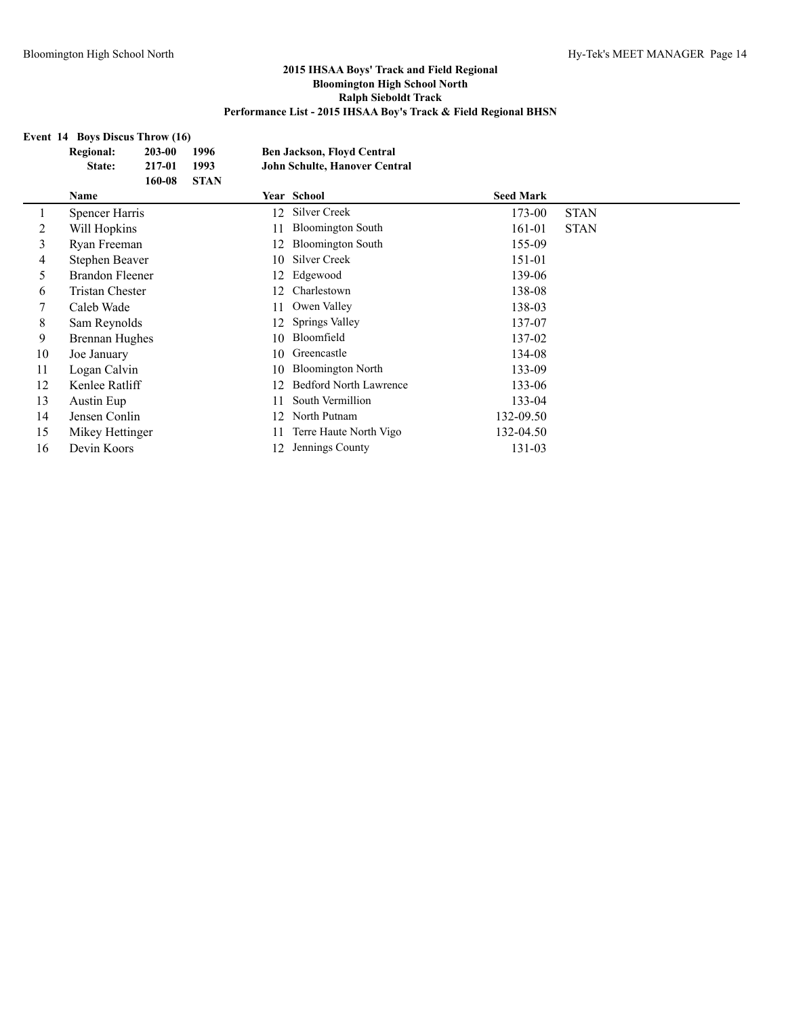## **Event 14 Boys Discus Throw (16)**

|         | <b>Regional:</b>       | 203-00 | 1996        | <b>Ben Jackson, Floyd Central</b> |                               |                  |             |
|---------|------------------------|--------|-------------|-----------------------------------|-------------------------------|------------------|-------------|
|         | State:                 | 217-01 | 1993        |                                   | John Schulte, Hanover Central |                  |             |
|         |                        | 160-08 | <b>STAN</b> |                                   |                               |                  |             |
|         | <b>Name</b>            |        |             |                                   | <b>Year School</b>            | <b>Seed Mark</b> |             |
| $\perp$ | Spencer Harris         |        |             | 12                                | Silver Creek                  | 173-00           | <b>STAN</b> |
| 2       | Will Hopkins           |        |             | 11                                | <b>Bloomington South</b>      | 161-01           | <b>STAN</b> |
| 3       | Ryan Freeman           |        |             | 12                                | <b>Bloomington South</b>      | 155-09           |             |
| 4       | Stephen Beaver         |        |             | 10                                | Silver Creek                  | 151-01           |             |
| 5       | Brandon Fleener        |        |             | 12                                | Edgewood                      | 139-06           |             |
| 6       | <b>Tristan Chester</b> |        |             | 12                                | Charlestown                   | 138-08           |             |
|         | Caleb Wade             |        |             | 11                                | Owen Valley                   | 138-03           |             |
| 8       | Sam Reynolds           |        |             | 12                                | Springs Valley                | 137-07           |             |
| 9       | <b>Brennan Hughes</b>  |        |             | 10                                | Bloomfield                    | 137-02           |             |
| 10      | Joe January            |        |             | 10                                | Greencastle                   | 134-08           |             |
| 11      | Logan Calvin           |        |             | 10                                | <b>Bloomington North</b>      | 133-09           |             |
| 12      | Kenlee Ratliff         |        |             | 12                                | <b>Bedford North Lawrence</b> | 133-06           |             |
| 13      | Austin Eup             |        |             | 11                                | South Vermillion              | 133-04           |             |
| 14      | Jensen Conlin          |        |             | 12                                | North Putnam                  | 132-09.50        |             |
| 15      | Mikey Hettinger        |        |             | 11                                | Terre Haute North Vigo        | 132-04.50        |             |
| 16      | Devin Koors            |        |             | 12                                | Jennings County               | 131-03           |             |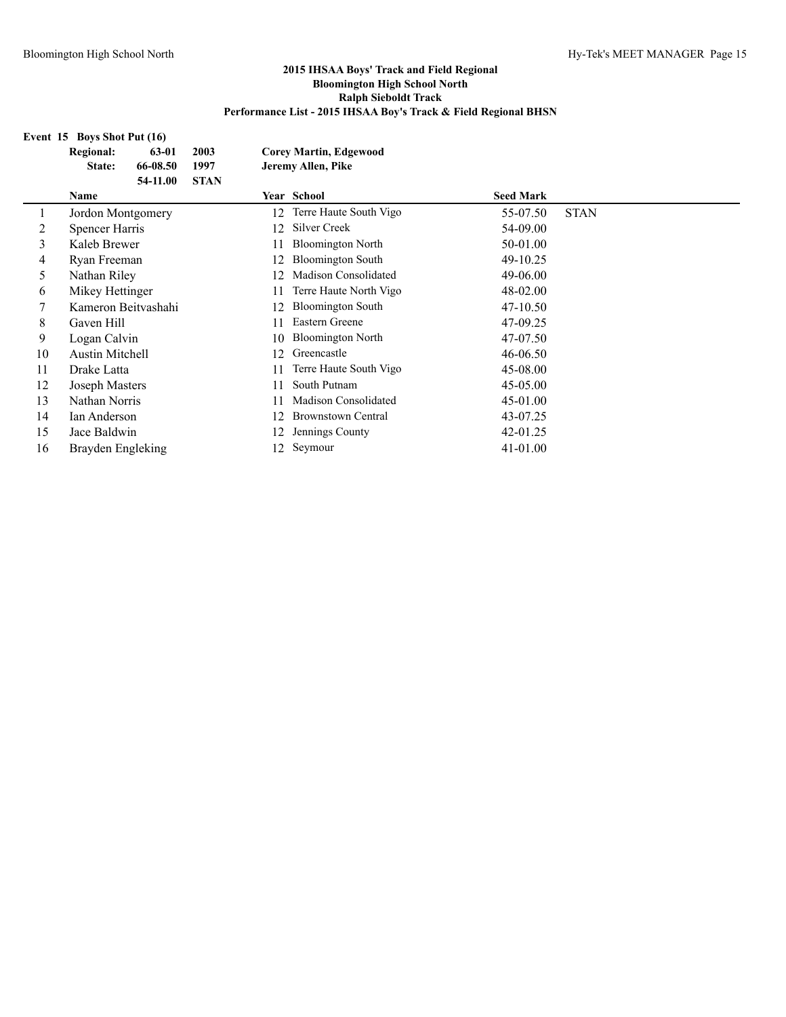**Event 15 Boys Shot Put (16)**

| <b>Regional:</b><br>63-01 | 2003        |                                             |                             |                                                                    |             |
|---------------------------|-------------|---------------------------------------------|-----------------------------|--------------------------------------------------------------------|-------------|
| State:                    | 1997        |                                             |                             |                                                                    |             |
|                           | <b>STAN</b> |                                             |                             |                                                                    |             |
| <b>Name</b>               |             |                                             |                             | <b>Seed Mark</b>                                                   |             |
| Jordon Montgomery         |             | 12                                          | Terre Haute South Vigo      | 55-07.50                                                           | <b>STAN</b> |
| Spencer Harris            |             | 12                                          | Silver Creek                | 54-09.00                                                           |             |
| Kaleb Brewer              |             | 11                                          | <b>Bloomington North</b>    | 50-01.00                                                           |             |
| Ryan Freeman              |             | 12                                          | <b>Bloomington South</b>    | 49-10.25                                                           |             |
| Nathan Riley              |             | 12                                          | Madison Consolidated        | 49-06.00                                                           |             |
| Mikey Hettinger           |             | 11                                          | Terre Haute North Vigo      | 48-02.00                                                           |             |
|                           |             | 12                                          | <b>Bloomington South</b>    | 47-10.50                                                           |             |
| Gaven Hill                |             | 11                                          | Eastern Greene              | 47-09.25                                                           |             |
| Logan Calvin              |             | 10                                          | <b>Bloomington North</b>    | 47-07.50                                                           |             |
| <b>Austin Mitchell</b>    |             | 12                                          | Greencastle                 | 46-06.50                                                           |             |
| Drake Latta               |             | 11                                          | Terre Haute South Vigo      | 45-08.00                                                           |             |
| Joseph Masters            |             | 11                                          | South Putnam                | 45-05.00                                                           |             |
| Nathan Norris             |             | 11                                          | <b>Madison Consolidated</b> | 45-01.00                                                           |             |
| Ian Anderson              |             | 12                                          | <b>Brownstown Central</b>   | 43-07.25                                                           |             |
| Jace Baldwin              |             | 12                                          | Jennings County             | 42-01.25                                                           |             |
| Brayden Engleking         |             | 12                                          | Seymour                     | 41-01.00                                                           |             |
|                           |             | 66-08.50<br>54-11.00<br>Kameron Beitvashahi |                             | <b>Corey Martin, Edgewood</b><br>Jeremy Allen, Pike<br>Year School |             |